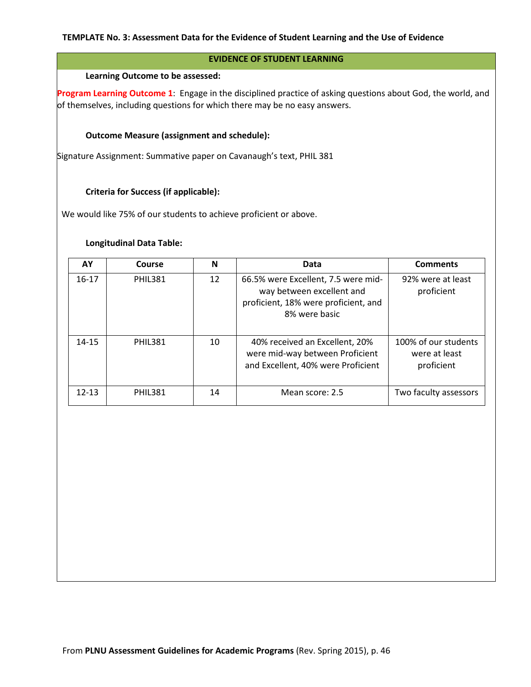## **EVIDENCE OF STUDENT LEARNING**

#### **Learning Outcome to be assessed:**

**Program Learning Outcome 1**: Engage in the disciplined practice of asking questions about God, the world, and of themselves, including questions for which there may be no easy answers.

### **Outcome Measure (assignment and schedule):**

Signature Assignment: Summative paper on Cavanaugh's text, PHIL 381

## **Criteria for Success (if applicable):**

We would like 75% of our students to achieve proficient or above.

## **Longitudinal Data Table:**

| AΥ        | Course         | N  | Data                                                                                                                      | <b>Comments</b>                                     |
|-----------|----------------|----|---------------------------------------------------------------------------------------------------------------------------|-----------------------------------------------------|
| $16-17$   | <b>PHIL381</b> | 12 | 66.5% were Excellent, 7.5 were mid-<br>way between excellent and<br>proficient, 18% were proficient, and<br>8% were basic | 92% were at least<br>proficient                     |
| $14 - 15$ | <b>PHIL381</b> | 10 | 40% received an Excellent, 20%<br>were mid-way between Proficient<br>and Excellent, 40% were Proficient                   | 100% of our students<br>were at least<br>proficient |
| $12 - 13$ | <b>PHIL381</b> | 14 | Mean score: 2.5                                                                                                           | Two faculty assessors                               |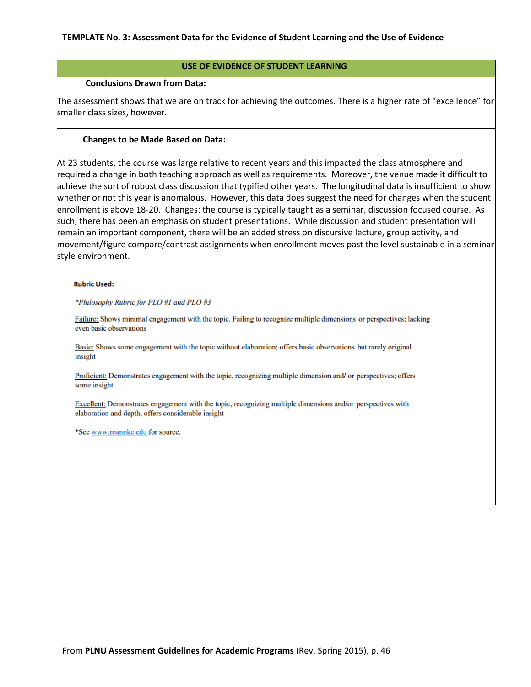#### **USE OF EVIDENCE OF STUDENT LEARNING**

#### **Conclusions Drawn from Data:**

The assessment shows that we are on track for achieving the outcomes. There is a higher rate of "excellence" for smaller class sizes, however.

#### **Changes to be Made Based on Data:**

At 23 students, the course was large relative to recent years and this impacted the class atmosphere and required a change in both teaching approach as well as requirements. Moreover, the venue made it difficult to achieve the sort of robust class discussion that typified other years. The longitudinal data is insufficient to show whether or not this year is anomalous. However, this data does suggest the need for changes when the student enrollment is above 18-20. Changes: the course is typically taught as a seminar, discussion focused course. As such, there has been an emphasis on student presentations. While discussion and student presentation will remain an important component, there will be an added stress on discursive lecture, group activity, and movement/figure compare/contrast assignments when enrollment moves past the level sustainable in a seminar style environment.

#### **Rubric Used:**

\*Philosophy Rubric for PLO #1 and PLO #3

Failure: Shows minimal engagement with the topic. Failing to recognize multiple dimensions or perspectives; lacking even basic observations

Basic: Shows some engagement with the topic without elaboration; offers basic observations but rarely original insight

Proficient: Demonstrates engagement with the topic, recognizing multiple dimension and/ or perspectives; offers some insight

Excellent: Demonstrates engagement with the topic, recognizing multiple dimensions and/or perspectives with elaboration and depth, offers considerable insight

\*See www.roanoke.edu for source.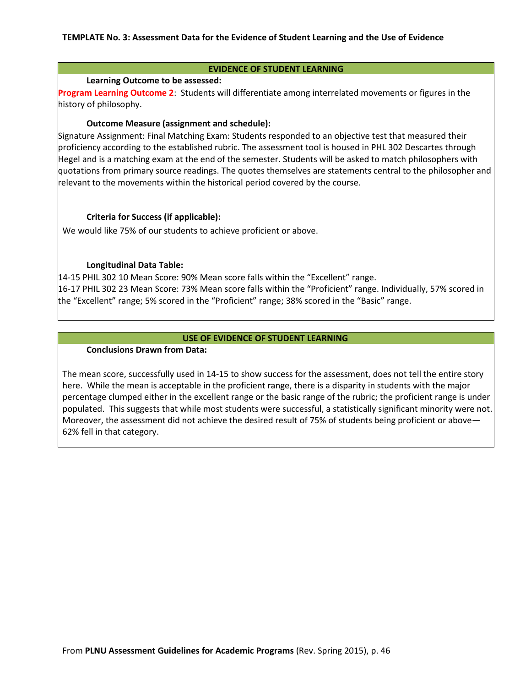#### **EVIDENCE OF STUDENT LEARNING**

### **Learning Outcome to be assessed:**

**Program Learning Outcome 2**: Students will differentiate among interrelated movements or figures in the history of philosophy.

### **Outcome Measure (assignment and schedule):**

Signature Assignment: Final Matching Exam: Students responded to an objective test that measured their proficiency according to the established rubric. The assessment tool is housed in PHL 302 Descartes through Hegel and is a matching exam at the end of the semester. Students will be asked to match philosophers with quotations from primary source readings. The quotes themselves are statements central to the philosopher and relevant to the movements within the historical period covered by the course.

## **Criteria for Success (if applicable):**

We would like 75% of our students to achieve proficient or above.

# **Longitudinal Data Table:**

14-15 PHIL 302 10 Mean Score: 90% Mean score falls within the "Excellent" range. 16-17 PHIL 302 23 Mean Score: 73% Mean score falls within the "Proficient" range. Individually, 57% scored in the "Excellent" range; 5% scored in the "Proficient" range; 38% scored in the "Basic" range.

## **USE OF EVIDENCE OF STUDENT LEARNING**

### **Conclusions Drawn from Data:**

The mean score, successfully used in 14-15 to show success for the assessment, does not tell the entire story here. While the mean is acceptable in the proficient range, there is a disparity in students with the major percentage clumped either in the excellent range or the basic range of the rubric; the proficient range is under populated. This suggests that while most students were successful, a statistically significant minority were not. Moreover, the assessment did not achieve the desired result of 75% of students being proficient or above— 62% fell in that category.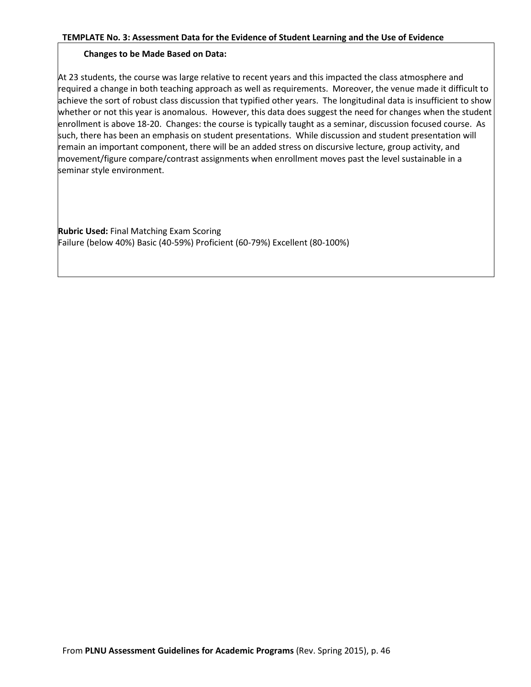# **Changes to be Made Based on Data:**

At 23 students, the course was large relative to recent years and this impacted the class atmosphere and required a change in both teaching approach as well as requirements. Moreover, the venue made it difficult to achieve the sort of robust class discussion that typified other years. The longitudinal data is insufficient to show whether or not this year is anomalous. However, this data does suggest the need for changes when the student enrollment is above 18-20. Changes: the course is typically taught as a seminar, discussion focused course. As such, there has been an emphasis on student presentations. While discussion and student presentation will remain an important component, there will be an added stress on discursive lecture, group activity, and movement/figure compare/contrast assignments when enrollment moves past the level sustainable in a seminar style environment.

**Rubric Used:** Final Matching Exam Scoring Failure (below 40%) Basic (40-59%) Proficient (60-79%) Excellent (80-100%)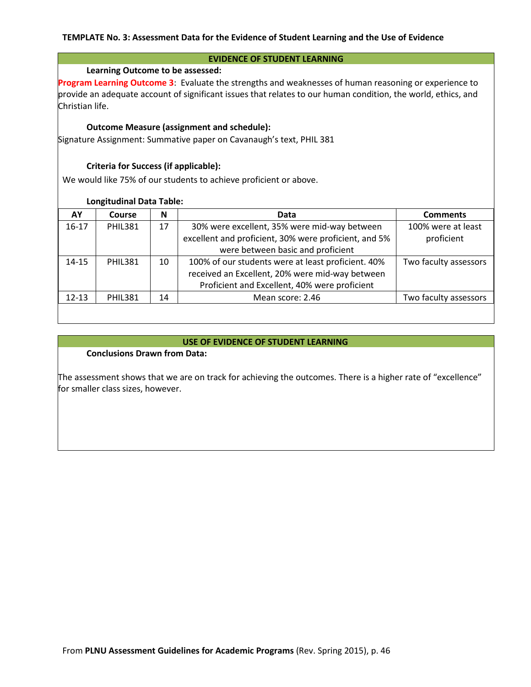#### **EVIDENCE OF STUDENT LEARNING**

### **Learning Outcome to be assessed:**

**Program Learning Outcome 3**: Evaluate the strengths and weaknesses of human reasoning or experience to provide an adequate account of significant issues that relates to our human condition, the world, ethics, and Christian life.

### **Outcome Measure (assignment and schedule):**

Signature Assignment: Summative paper on Cavanaugh's text, PHIL 381

## **Criteria for Success (if applicable):**

We would like 75% of our students to achieve proficient or above.

### **Longitudinal Data Table:**

| AY        | Course         | N  | Data                                                  | <b>Comments</b>       |
|-----------|----------------|----|-------------------------------------------------------|-----------------------|
| $16 - 17$ | <b>PHIL381</b> | 17 | 30% were excellent, 35% were mid-way between          | 100% were at least    |
|           |                |    | excellent and proficient, 30% were proficient, and 5% | proficient            |
|           |                |    | were between basic and proficient                     |                       |
| $14 - 15$ | <b>PHIL381</b> | 10 | 100% of our students were at least proficient. 40%    | Two faculty assessors |
|           |                |    | received an Excellent, 20% were mid-way between       |                       |
|           |                |    | Proficient and Excellent, 40% were proficient         |                       |
| $12 - 13$ | <b>PHIL381</b> | 14 | Mean score: 2.46                                      | Two faculty assessors |
|           |                |    |                                                       |                       |

## **USE OF EVIDENCE OF STUDENT LEARNING**

# **Conclusions Drawn from Data:**

The assessment shows that we are on track for achieving the outcomes. There is a higher rate of "excellence" for smaller class sizes, however.